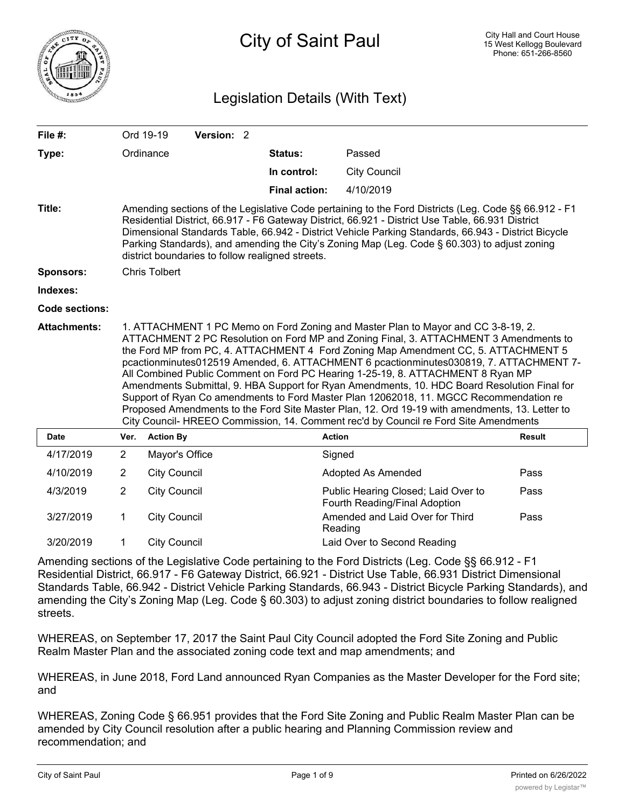

# Legislation Details (With Text)

| File #:               |                                                                                                                                                                                                                                                                                                                                                                                                                                                                                                                                                                                                                                                                                                                                                                                                                                  | Ord 19-19            | Version: 2 |  |                                                  |                                                                                                                                                                                                                                                                                                                                                                                                                 |               |
|-----------------------|----------------------------------------------------------------------------------------------------------------------------------------------------------------------------------------------------------------------------------------------------------------------------------------------------------------------------------------------------------------------------------------------------------------------------------------------------------------------------------------------------------------------------------------------------------------------------------------------------------------------------------------------------------------------------------------------------------------------------------------------------------------------------------------------------------------------------------|----------------------|------------|--|--------------------------------------------------|-----------------------------------------------------------------------------------------------------------------------------------------------------------------------------------------------------------------------------------------------------------------------------------------------------------------------------------------------------------------------------------------------------------------|---------------|
| Type:                 |                                                                                                                                                                                                                                                                                                                                                                                                                                                                                                                                                                                                                                                                                                                                                                                                                                  | Ordinance            |            |  | <b>Status:</b>                                   | Passed                                                                                                                                                                                                                                                                                                                                                                                                          |               |
|                       |                                                                                                                                                                                                                                                                                                                                                                                                                                                                                                                                                                                                                                                                                                                                                                                                                                  |                      |            |  | In control:                                      | <b>City Council</b>                                                                                                                                                                                                                                                                                                                                                                                             |               |
|                       |                                                                                                                                                                                                                                                                                                                                                                                                                                                                                                                                                                                                                                                                                                                                                                                                                                  |                      |            |  | <b>Final action:</b>                             | 4/10/2019                                                                                                                                                                                                                                                                                                                                                                                                       |               |
| Title:                |                                                                                                                                                                                                                                                                                                                                                                                                                                                                                                                                                                                                                                                                                                                                                                                                                                  |                      |            |  | district boundaries to follow realigned streets. | Amending sections of the Legislative Code pertaining to the Ford Districts (Leg. Code §§ 66.912 - F1<br>Residential District, 66.917 - F6 Gateway District, 66.921 - District Use Table, 66.931 District<br>Dimensional Standards Table, 66.942 - District Vehicle Parking Standards, 66.943 - District Bicycle<br>Parking Standards), and amending the City's Zoning Map (Leg. Code § 60.303) to adjust zoning |               |
| <b>Sponsors:</b>      |                                                                                                                                                                                                                                                                                                                                                                                                                                                                                                                                                                                                                                                                                                                                                                                                                                  | <b>Chris Tolbert</b> |            |  |                                                  |                                                                                                                                                                                                                                                                                                                                                                                                                 |               |
| Indexes:              |                                                                                                                                                                                                                                                                                                                                                                                                                                                                                                                                                                                                                                                                                                                                                                                                                                  |                      |            |  |                                                  |                                                                                                                                                                                                                                                                                                                                                                                                                 |               |
| <b>Code sections:</b> |                                                                                                                                                                                                                                                                                                                                                                                                                                                                                                                                                                                                                                                                                                                                                                                                                                  |                      |            |  |                                                  |                                                                                                                                                                                                                                                                                                                                                                                                                 |               |
| <b>Attachments:</b>   | 1. ATTACHMENT 1 PC Memo on Ford Zoning and Master Plan to Mayor and CC 3-8-19, 2.<br>ATTACHMENT 2 PC Resolution on Ford MP and Zoning Final, 3. ATTACHMENT 3 Amendments to<br>the Ford MP from PC, 4. ATTACHMENT 4 Ford Zoning Map Amendment CC, 5. ATTACHMENT 5<br>pcactionminutes012519 Amended, 6. ATTACHMENT 6 pcactionminutes030819, 7. ATTACHMENT 7-<br>All Combined Public Comment on Ford PC Hearing 1-25-19, 8. ATTACHMENT 8 Ryan MP<br>Amendments Submittal, 9. HBA Support for Ryan Amendments, 10. HDC Board Resolution Final for<br>Support of Ryan Co amendments to Ford Master Plan 12062018, 11. MGCC Recommendation re<br>Proposed Amendments to the Ford Site Master Plan, 12. Ord 19-19 with amendments, 13. Letter to<br>City Council-HREEO Commission, 14. Comment rec'd by Council re Ford Site Amendments |                      |            |  |                                                  |                                                                                                                                                                                                                                                                                                                                                                                                                 |               |
| <b>Date</b>           | Ver.                                                                                                                                                                                                                                                                                                                                                                                                                                                                                                                                                                                                                                                                                                                                                                                                                             | <b>Action By</b>     |            |  |                                                  | <b>Action</b>                                                                                                                                                                                                                                                                                                                                                                                                   | <b>Result</b> |
| 4/17/2019             | 2                                                                                                                                                                                                                                                                                                                                                                                                                                                                                                                                                                                                                                                                                                                                                                                                                                | Mayor's Office       |            |  |                                                  | Signed                                                                                                                                                                                                                                                                                                                                                                                                          |               |
| 4/10/2019             | $\overline{c}$                                                                                                                                                                                                                                                                                                                                                                                                                                                                                                                                                                                                                                                                                                                                                                                                                   | <b>City Council</b>  |            |  |                                                  | Adopted As Amended                                                                                                                                                                                                                                                                                                                                                                                              | Pass          |
| 4/3/2019              | $\overline{2}$                                                                                                                                                                                                                                                                                                                                                                                                                                                                                                                                                                                                                                                                                                                                                                                                                   | <b>City Council</b>  |            |  |                                                  | Public Hearing Closed; Laid Over to<br>Fourth Reading/Final Adoption                                                                                                                                                                                                                                                                                                                                            | Pass          |
| 3/27/2019             | 1                                                                                                                                                                                                                                                                                                                                                                                                                                                                                                                                                                                                                                                                                                                                                                                                                                | <b>City Council</b>  |            |  |                                                  | Amended and Laid Over for Third<br>Reading                                                                                                                                                                                                                                                                                                                                                                      | Pass          |
| 3/20/2019             | 1                                                                                                                                                                                                                                                                                                                                                                                                                                                                                                                                                                                                                                                                                                                                                                                                                                | <b>City Council</b>  |            |  |                                                  | Laid Over to Second Reading                                                                                                                                                                                                                                                                                                                                                                                     |               |

Amending sections of the Legislative Code pertaining to the Ford Districts (Leg. Code §§ 66.912 - F1 Residential District, 66.917 - F6 Gateway District, 66.921 - District Use Table, 66.931 District Dimensional Standards Table, 66.942 - District Vehicle Parking Standards, 66.943 - District Bicycle Parking Standards), and amending the City's Zoning Map (Leg. Code § 60.303) to adjust zoning district boundaries to follow realigned streets.

WHEREAS, on September 17, 2017 the Saint Paul City Council adopted the Ford Site Zoning and Public Realm Master Plan and the associated zoning code text and map amendments; and

WHEREAS, in June 2018, Ford Land announced Ryan Companies as the Master Developer for the Ford site; and

WHEREAS, Zoning Code § 66.951 provides that the Ford Site Zoning and Public Realm Master Plan can be amended by City Council resolution after a public hearing and Planning Commission review and recommendation; and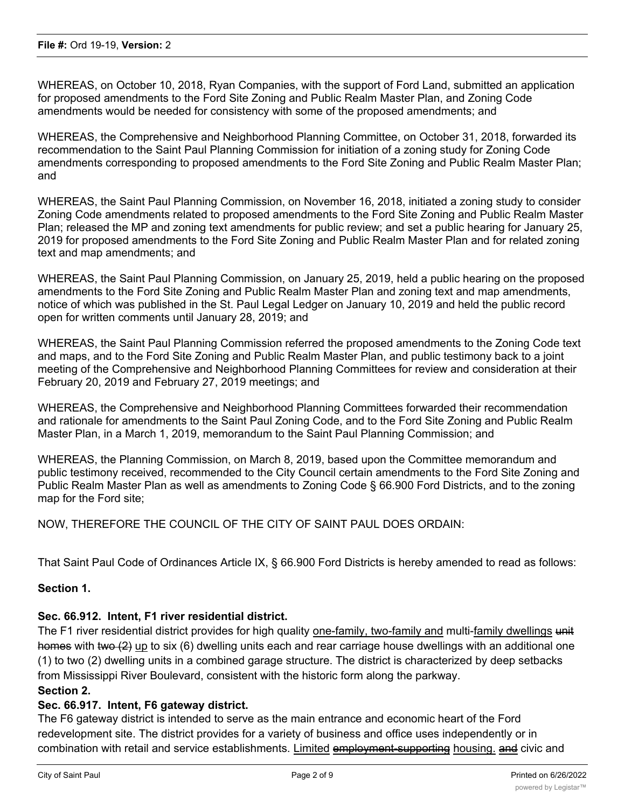WHEREAS, on October 10, 2018, Ryan Companies, with the support of Ford Land, submitted an application for proposed amendments to the Ford Site Zoning and Public Realm Master Plan, and Zoning Code amendments would be needed for consistency with some of the proposed amendments; and

WHEREAS, the Comprehensive and Neighborhood Planning Committee, on October 31, 2018, forwarded its recommendation to the Saint Paul Planning Commission for initiation of a zoning study for Zoning Code amendments corresponding to proposed amendments to the Ford Site Zoning and Public Realm Master Plan; and

WHEREAS, the Saint Paul Planning Commission, on November 16, 2018, initiated a zoning study to consider Zoning Code amendments related to proposed amendments to the Ford Site Zoning and Public Realm Master Plan; released the MP and zoning text amendments for public review; and set a public hearing for January 25, 2019 for proposed amendments to the Ford Site Zoning and Public Realm Master Plan and for related zoning text and map amendments; and

WHEREAS, the Saint Paul Planning Commission, on January 25, 2019, held a public hearing on the proposed amendments to the Ford Site Zoning and Public Realm Master Plan and zoning text and map amendments, notice of which was published in the St. Paul Legal Ledger on January 10, 2019 and held the public record open for written comments until January 28, 2019; and

WHEREAS, the Saint Paul Planning Commission referred the proposed amendments to the Zoning Code text and maps, and to the Ford Site Zoning and Public Realm Master Plan, and public testimony back to a joint meeting of the Comprehensive and Neighborhood Planning Committees for review and consideration at their February 20, 2019 and February 27, 2019 meetings; and

WHEREAS, the Comprehensive and Neighborhood Planning Committees forwarded their recommendation and rationale for amendments to the Saint Paul Zoning Code, and to the Ford Site Zoning and Public Realm Master Plan, in a March 1, 2019, memorandum to the Saint Paul Planning Commission; and

WHEREAS, the Planning Commission, on March 8, 2019, based upon the Committee memorandum and public testimony received, recommended to the City Council certain amendments to the Ford Site Zoning and Public Realm Master Plan as well as amendments to Zoning Code § 66.900 Ford Districts, and to the zoning map for the Ford site;

NOW, THEREFORE THE COUNCIL OF THE CITY OF SAINT PAUL DOES ORDAIN:

That Saint Paul Code of Ordinances Article IX, § 66.900 Ford Districts is hereby amended to read as follows:

## **Section 1.**

#### **Sec. 66.912. Intent, F1 river residential district.**

The F1 river residential district provides for high quality one-family, two-family and multi-family dwellings unit homes with two (2) up to six (6) dwelling units each and rear carriage house dwellings with an additional one (1) to two (2) dwelling units in a combined garage structure. The district is characterized by deep setbacks from Mississippi River Boulevard, consistent with the historic form along the parkway.

# **Section 2.**

### **Sec. 66.917. Intent, F6 gateway district.**

The F6 gateway district is intended to serve as the main entrance and economic heart of the Ford redevelopment site. The district provides for a variety of business and office uses independently or in combination with retail and service establishments. Limited employment-supporting housing, and civic and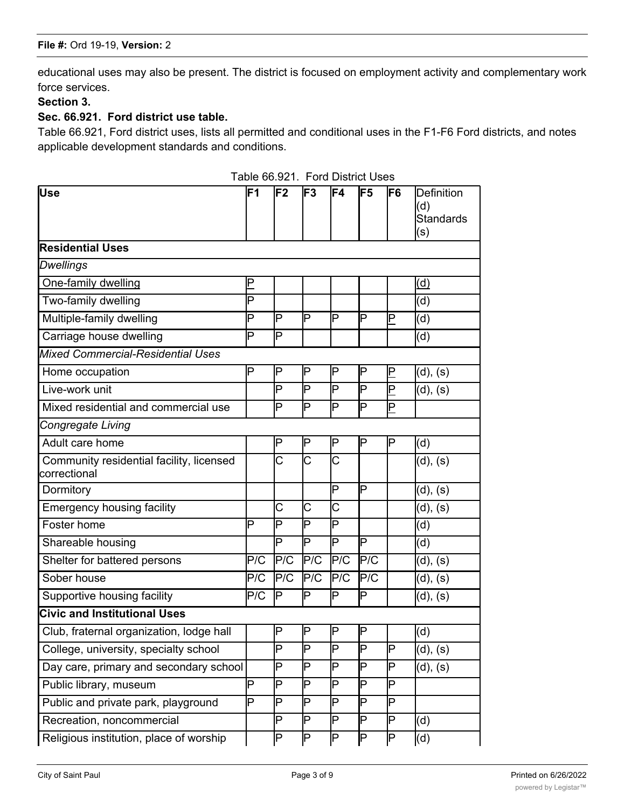educational uses may also be present. The district is focused on employment activity and complementary work force services.

# **Section 3.**

### **Sec. 66.921. Ford district use table.**

Table 66.921, Ford district uses, lists all permitted and conditional uses in the F1-F6 Ford districts, and notes applicable development standards and conditions.

| Use                                                      | lF1                     | lF2                     | IF3                   | IF4                     | IF <sub>5</sub>         | IF6         | <b>Definition</b><br>(d)<br><b>Standards</b><br>(s) |
|----------------------------------------------------------|-------------------------|-------------------------|-----------------------|-------------------------|-------------------------|-------------|-----------------------------------------------------|
| <b>Residential Uses</b>                                  |                         |                         |                       |                         |                         |             |                                                     |
| <b>Dwellings</b>                                         |                         |                         |                       |                         |                         |             |                                                     |
| One-family dwelling                                      | $\overline{\mathsf{P}}$ |                         |                       |                         |                         |             | $\overline{\texttt{d}}$                             |
| Two-family dwelling                                      | Þ                       |                         |                       |                         |                         |             | (d)                                                 |
| Multiple-family dwelling<br>P                            |                         | P                       | Þ                     | $\mathsf P$             | ΙP                      | P           | (d)                                                 |
| Carriage house dwelling                                  | P                       | P                       |                       |                         |                         |             | (d)                                                 |
| <b>Mixed Commercial-Residential Uses</b>                 |                         |                         |                       |                         |                         |             |                                                     |
| Home occupation                                          | P                       | P                       | P                     | P                       | P                       | $\mathsf P$ | (d), (s)                                            |
| Live-work unit                                           |                         | P                       | Þ                     | P                       | ΙP                      | $\mathsf P$ | (d), (s)                                            |
| Mixed residential and commercial use                     |                         | P                       | P                     | P                       | $\overline{\mathsf{P}}$ | P           |                                                     |
| Congregate Living                                        |                         |                         |                       |                         |                         |             |                                                     |
| Adult care home                                          |                         | Ρ                       | P                     | P                       | ΙP                      | P           | (d)                                                 |
| Community residential facility, licensed<br>correctional |                         | $\overline{\text{C}}$   | $\overline{\text{C}}$ | $\overline{\mathsf{C}}$ |                         |             | (d), (s)                                            |
| Dormitory                                                |                         |                         |                       | P                       | ΙP                      |             | (d), (s)                                            |
| <b>Emergency housing facility</b>                        |                         | Ć                       | Ć                     | C                       |                         |             | (d), (s)                                            |
| Foster home                                              | Þ                       | P                       | Þ                     | P                       |                         |             | (d)                                                 |
| Shareable housing                                        |                         | P                       | Þ                     | P                       | ΙP                      |             | (d)                                                 |
| Shelter for battered persons                             | P/C                     | P/C                     | P/C                   | P/C                     | P/C                     |             | (d), (s)                                            |
| Sober house                                              | P/C                     | P/C                     | P/C                   | P/C                     | P/C                     |             | (d), (s)                                            |
| Supportive housing facility                              | P/C                     | P                       | P                     | P                       | ΙP                      |             | (d), (s)                                            |
| <b>Civic and Institutional Uses</b>                      |                         |                         |                       |                         |                         |             |                                                     |
| Club, fraternal organization, lodge hall                 |                         | P                       | ΙP                    | ΙP                      | ΙP                      |             | (d)                                                 |
| College, university, specialty school                    |                         | $\overline{\mathsf{P}}$ | ╔                     | $\overline{\mathsf{P}}$ | $\overline{\mathsf{P}}$ | P           | (d), (s)                                            |
| Day care, primary and secondary school                   |                         | P                       | P                     | P                       | ΙP                      | P           | (d), (s)                                            |
| Public library, museum                                   | P                       | P                       | P                     | P                       | ΙP                      | P           |                                                     |
| Public and private park, playground                      | P                       | P                       | P                     | P                       | IP                      | P           |                                                     |
| Recreation, noncommercial                                |                         | P                       | P                     | P                       | ΙP                      | P           | (d)                                                 |
| Religious institution, place of worship                  |                         | P                       | P                     | P                       | $\overline{\mathsf{P}}$ | P           | (d)                                                 |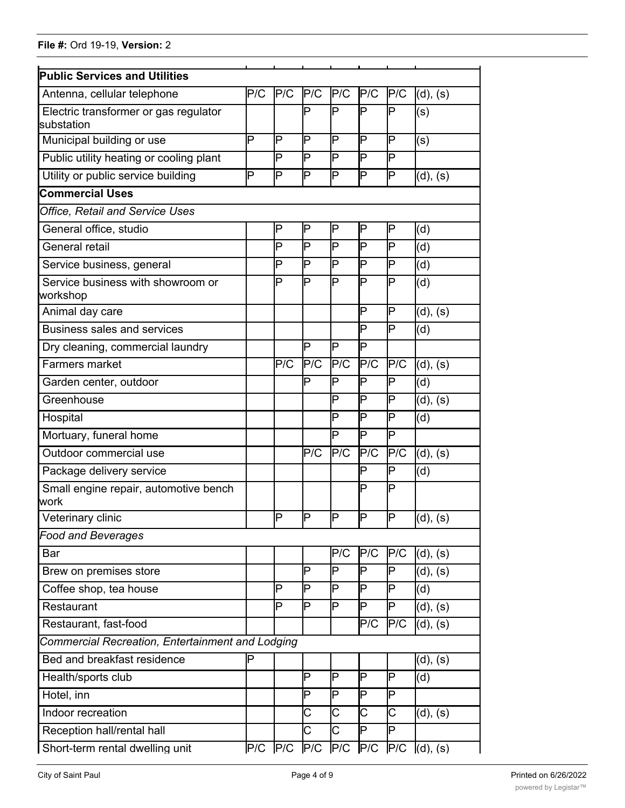| <b>Public Services and Utilities</b>                |     |             |     |                         |                         |                |                        |
|-----------------------------------------------------|-----|-------------|-----|-------------------------|-------------------------|----------------|------------------------|
| Antenna, cellular telephone                         | P/C | P/C         | P/C | P/C                     | P/C                     | P/C            | (d), (s)               |
| Electric transformer or gas regulator<br>substation |     |             | P   | P                       | P                       | P              | (s)                    |
| Municipal building or use                           | P   | ΙP          | IΡ  | P                       | P                       | P              | (s)                    |
| Public utility heating or cooling plant             |     | ΙP          | ΙP  | P                       | P                       | Þ              |                        |
| Utility or public service building                  | P   | ΙP          | Þ   | P                       | P                       | P              | (d), (s)               |
| <b>Commercial Uses</b>                              |     |             |     |                         |                         |                |                        |
| <b>Office, Retail and Service Uses</b>              |     |             |     |                         |                         |                |                        |
| General office, studio                              |     | ℙ           | ΙP  | P                       | P                       | P              | (d)                    |
| General retail                                      |     | Þ           | Þ   | P                       | P                       | P              | (d)                    |
| Service business, general                           |     | P           | P   | P                       | P                       | P              | (d)                    |
| Service business with showroom or<br>workshop       |     | P           | Þ   | P                       | P                       | P              | (d)                    |
| Animal day care                                     |     |             |     |                         | P                       | P              | (d), (s)               |
| <b>Business sales and services</b>                  |     |             |     |                         | P                       | Þ              | (d)                    |
| Dry cleaning, commercial laundry                    |     |             | Þ   | P                       | P                       |                |                        |
| Farmers market                                      |     | P/C         | P/C | P/C                     | P/C                     | P/C            | (d), (s)               |
| Garden center, outdoor                              |     |             | P   | P                       | P                       | P              | (d)                    |
| Greenhouse                                          |     |             |     | P                       | P                       | P              | (d), (s)               |
| Hospital                                            |     |             |     | P                       | P                       | P              | (d)                    |
| Mortuary, funeral home                              |     |             |     | P                       | P                       | Þ              |                        |
| Outdoor commercial use                              |     |             | P/C | P/C                     | P/C                     | P/C            | (d), (s)               |
| Package delivery service                            |     |             |     |                         | P                       | P              | (d)                    |
| Small engine repair, automotive bench<br>lwork      |     |             |     |                         | P                       | P              |                        |
| Veterinary clinic                                   |     | ℙ           | IP  | ΙP                      | IP                      | P              | (d), (s)               |
| <b>Food and Beverages</b>                           |     |             |     |                         |                         |                |                        |
| Bar                                                 |     |             |     | P/C                     | P/C                     | P/C            | (d), (s)               |
| Brew on premises store                              |     |             | P   | P                       | P                       | P              | (d), (s)               |
| Coffee shop, tea house                              |     | P           | P   | P                       | P                       | P              | (d)                    |
| Restaurant                                          |     | Þ           | Þ   | P                       | P                       | P              | (d), (s)               |
| Restaurant, fast-food                               |     |             |     |                         | P/C                     | P/C            | (d), (s)               |
| Commercial Recreation, Entertainment and Lodging    |     |             |     |                         |                         |                |                        |
| Bed and breakfast residence                         | P   |             |     |                         |                         |                | (d), (s)               |
| Health/sports club                                  |     |             | Þ   | P                       | P                       | P              | (d)                    |
| Hotel, inn                                          |     |             | Þ   | $\overline{\mathsf{P}}$ | $\overline{\mathsf{P}}$ | $\overline{P}$ |                        |
| Indoor recreation                                   |     |             | C   | C                       | C                       | C              | (d), (s)               |
| Reception hall/rental hall                          |     |             | Ć   | C                       | P                       | P              |                        |
| Short-term rental dwelling unit                     |     | $P/C$ $P/C$ | P/C | P/C                     |                         |                | $P/C$ $P/C$ $(d), (s)$ |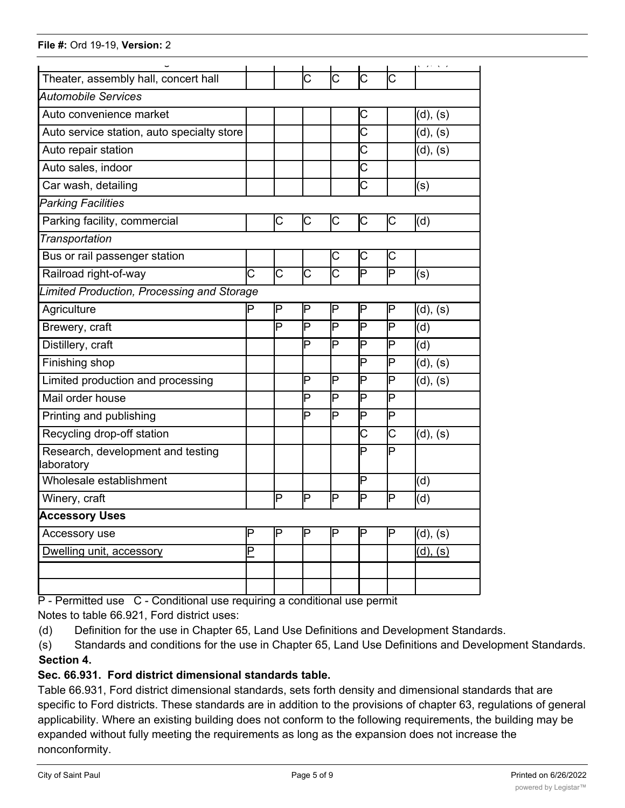| Theater, assembly hall, concert hall            |                       |    | Ć                     | Ć                     | С                     | C |                                         |
|-------------------------------------------------|-----------------------|----|-----------------------|-----------------------|-----------------------|---|-----------------------------------------|
| <b>Automobile Services</b>                      |                       |    |                       |                       |                       |   |                                         |
| Auto convenience market                         |                       |    |                       |                       | С                     |   | (d), (s)                                |
| Auto service station, auto specialty store      |                       |    |                       |                       | $\overline{\text{c}}$ |   | (d), (s)                                |
| Auto repair station                             |                       |    |                       |                       | Ć                     |   | (d), (s)                                |
| Auto sales, indoor                              |                       |    |                       |                       | С                     |   |                                         |
| Car wash, detailing                             |                       |    |                       |                       | $\overline{\text{c}}$ |   | (s)                                     |
| <b>Parking Facilities</b>                       |                       |    |                       |                       |                       |   |                                         |
| Parking facility, commercial                    |                       | С  | С                     | С                     | С                     | С | (d)                                     |
| Transportation                                  |                       |    |                       |                       |                       |   |                                         |
| Bus or rail passenger station                   |                       |    |                       | С                     | С                     | C |                                         |
| Railroad right-of-way                           | $\overline{\text{C}}$ | C  | $\overline{\text{C}}$ | $\overline{\text{C}}$ | P                     | P | (s)                                     |
| Limited Production, Processing and Storage      |                       |    |                       |                       |                       |   |                                         |
| Agriculture                                     | P                     | ΙP | ΙP                    | ļΡ                    | P                     | P | (d), (s)                                |
| Brewery, craft                                  |                       | Þ  | ΙP                    | Þ                     | P                     | P | (d)                                     |
| Distillery, craft                               |                       |    | Þ                     | ΙP                    | P                     | P | (d)                                     |
| Finishing shop                                  |                       |    |                       |                       | P                     | P | (d), (s)                                |
| Limited production and processing               |                       |    | Þ                     | P                     | P                     | P | (d), (s)                                |
| Mail order house                                |                       |    | Þ                     | Þ                     | P                     | Þ |                                         |
| Printing and publishing                         |                       |    | Þ                     | Þ                     | P                     | P |                                         |
| Recycling drop-off station                      |                       |    |                       |                       | С                     | C | (d), (s)                                |
| Research, development and testing<br>laboratory |                       |    |                       |                       | P                     | P |                                         |
| Wholesale establishment                         |                       |    |                       |                       | P                     |   | (d)                                     |
| Winery, craft                                   |                       | P  | ΙP                    | P                     | P                     | P | (d)                                     |
| <b>Accessory Uses</b>                           |                       |    |                       |                       |                       |   |                                         |
| Accessory use                                   | P                     | P  | IΡ                    | P                     | P                     | P | (d), (s)                                |
| Dwelling unit, accessory                        | Ρ                     |    |                       |                       |                       |   | $\overline{(\mathsf{d}), (\mathsf{s})}$ |
|                                                 |                       |    |                       |                       |                       |   |                                         |
|                                                 |                       |    |                       |                       |                       |   |                                         |

P - Permitted use C - Conditional use requiring a conditional use permit

Notes to table 66.921, Ford district uses:

(d) Definition for the use in Chapter 65, Land Use Definitions and Development Standards.

(s) Standards and conditions for the use in Chapter 65, Land Use Definitions and Development Standards. **Section 4.**

# **Sec. 66.931. Ford district dimensional standards table.**

Table 66.931, Ford district dimensional standards, sets forth density and dimensional standards that are specific to Ford districts. These standards are in addition to the provisions of chapter 63, regulations of general applicability. Where an existing building does not conform to the following requirements, the building may be expanded without fully meeting the requirements as long as the expansion does not increase the nonconformity.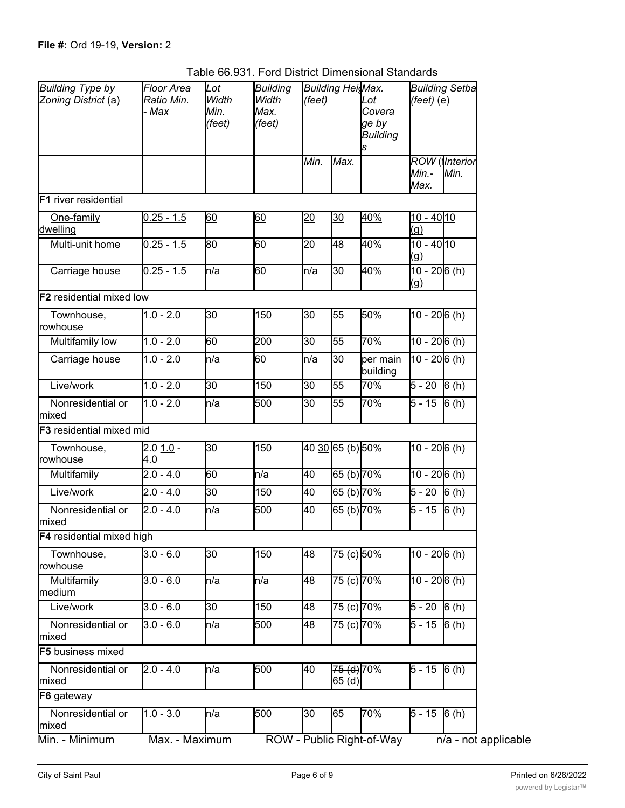|  |  |  | Table 66.931. Ford District Dimensional Standards |  |
|--|--|--|---------------------------------------------------|--|
|--|--|--|---------------------------------------------------|--|

| <b>Building Type by</b><br>Zoning District (a) | <b>Floor Area</b><br>Ratio Min.<br>- Max | Lot<br>Width<br>Min.<br>(feet) | <b>Building</b><br>Width<br>Max.<br>(feet) | (feet)          |                     | <b>Building HeisMax.</b><br>s |                                  |                                      |  | Lot<br>Covera<br>ge by<br><b>Building</b> |  | <b>Building Setba</b><br>$(\text{feet})$ (e) |
|------------------------------------------------|------------------------------------------|--------------------------------|--------------------------------------------|-----------------|---------------------|-------------------------------|----------------------------------|--------------------------------------|--|-------------------------------------------|--|----------------------------------------------|
|                                                |                                          |                                |                                            | Min.            | Max.                |                               | Min.-<br>Max.                    | <b>ROW</b> ( <i>Interior</i><br>Min. |  |                                           |  |                                              |
| <b>IF1</b> river residential                   |                                          |                                |                                            |                 |                     |                               |                                  |                                      |  |                                           |  |                                              |
| One-family<br>dwelling                         | $0.25 - 1.5$                             | 60                             | 60                                         | 20              | 30                  | 40%                           | $10 - 4010$<br>$\left( q\right)$ |                                      |  |                                           |  |                                              |
| Multi-unit home                                | $0.25 - 1.5$                             | 80                             | 60                                         | 20              | 48                  | 40%                           | $10 - 40$ 10<br>(g)              |                                      |  |                                           |  |                                              |
| Carriage house                                 | $0.25 - 1.5$                             | ln/a                           | 60                                         | n/a             | 30                  | 40%                           | $10 - 206(h)$<br>(g)             |                                      |  |                                           |  |                                              |
| <b>F2</b> residential mixed low                |                                          |                                |                                            |                 |                     |                               |                                  |                                      |  |                                           |  |                                              |
| Townhouse,<br>Irowhouse                        | $1.0 - 2.0$                              | 30                             | 150                                        | 30              | 55                  | 50%                           | $10 - 206(h)$                    |                                      |  |                                           |  |                                              |
| Multifamily low                                | $1.0 - 2.0$                              | 60                             | 200                                        | 30              | 55                  | 70%                           | $10 - 206(h)$                    |                                      |  |                                           |  |                                              |
| Carriage house                                 | $1.0 - 2.0$                              | n/a                            | 60                                         | n/a             | 30                  | per main<br>building          | $10 - 206(h)$                    |                                      |  |                                           |  |                                              |
| Live/work                                      | $1.0 - 2.0$                              | 30                             | 150                                        | $\overline{30}$ | 55                  | 70%                           | $5 - 20$ 6 (h)                   |                                      |  |                                           |  |                                              |
| Nonresidential or<br>Imixed                    | $1.0 - 2.0$                              | n/a                            | 500                                        | 30              | 55                  | 70%                           | $5 - 15$ 6 (h)                   |                                      |  |                                           |  |                                              |
| <b>F3</b> residential mixed mid                |                                          |                                |                                            |                 |                     |                               |                                  |                                      |  |                                           |  |                                              |
| Townhouse,<br>rowhouse                         | $2.01.0 -$<br>4.0                        | 30                             | 150                                        |                 | 40 30 65 (b) 50%    |                               | $10 - 206(h)$                    |                                      |  |                                           |  |                                              |
| Multifamily                                    | $2.0 - 4.0$                              | 60                             | ln/a                                       | 40              | 65 (b) 70%          |                               | $10 - 206(h)$                    |                                      |  |                                           |  |                                              |
| Live/work                                      | $2.0 - 4.0$                              | 30                             | 150                                        | 40              | 65 (b) 70%          |                               | $5 - 20$                         | 6(h)                                 |  |                                           |  |                                              |
| Nonresidential or<br><b>mixed</b>              | $2.0 - 4.0$                              | n/a                            | 500                                        | 40              | 65 (b) 70%          |                               | $\overline{5}$ - 15              | 6(h)                                 |  |                                           |  |                                              |
| <b>F4</b> residential mixed high               |                                          |                                |                                            |                 |                     |                               |                                  |                                      |  |                                           |  |                                              |
| Townhouse,<br>rowhouse                         | $3.0 - 6.0$                              | 30                             | 150                                        | 48              | 75 (c) 50%          |                               | $10 - 206(h)$                    |                                      |  |                                           |  |                                              |
| Multifamily<br>medium                          | $3.0 - 6.0$                              | n/a                            | ln/a                                       | 48              | 75 (c) 70%          |                               | $10 - 206(h)$                    |                                      |  |                                           |  |                                              |
| Live/work                                      | $3.0 - 6.0$                              | 30                             | 150                                        | 48              | 75 (c) 70%          |                               | 5 - 20                           | 6(h)                                 |  |                                           |  |                                              |
| Nonresidential or<br>mixed                     | $3.0 - 6.0$                              | ln/a                           | 500                                        | 48              | 75 (c) 70%          |                               | 5 - 15                           | 6(h)                                 |  |                                           |  |                                              |
| <b>F5</b> business mixed                       |                                          |                                |                                            |                 |                     |                               |                                  |                                      |  |                                           |  |                                              |
| Nonresidential or<br>mixed                     | $2.0 - 4.0$                              | ln/a                           | 500                                        | 40              | 75 (d) 70%<br>65(d) |                               | $5 - 15$ 6 (h)                   |                                      |  |                                           |  |                                              |
| F6 gateway                                     |                                          |                                |                                            |                 |                     |                               |                                  |                                      |  |                                           |  |                                              |
| Nonresidential or<br>mixed                     | $1.0 - 3.0$                              | ln/a                           | 500                                        | 30              | 65                  | 70%                           | $5 - 15$ 6 (h)                   |                                      |  |                                           |  |                                              |
| Min. - Minimum                                 | Max. - Maximum                           |                                |                                            |                 |                     | ROW - Public Right-of-Way     |                                  | $\overline{n/a}$ - not applicable    |  |                                           |  |                                              |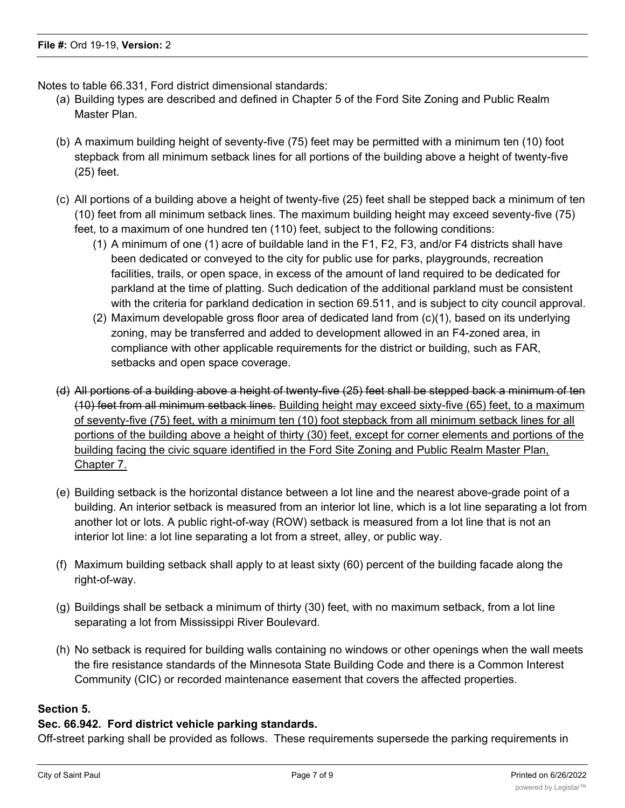Notes to table 66.331, Ford district dimensional standards:

- (a) Building types are described and defined in Chapter 5 of the Ford Site Zoning and Public Realm Master Plan.
- (b) A maximum building height of seventy-five (75) feet may be permitted with a minimum ten (10) foot stepback from all minimum setback lines for all portions of the building above a height of twenty-five (25) feet.
- (c) All portions of a building above a height of twenty-five (25) feet shall be stepped back a minimum of ten (10) feet from all minimum setback lines. The maximum building height may exceed seventy-five (75) feet, to a maximum of one hundred ten (110) feet, subject to the following conditions:
	- (1) A minimum of one (1) acre of buildable land in the F1, F2, F3, and/or F4 districts shall have been dedicated or conveyed to the city for public use for parks, playgrounds, recreation facilities, trails, or open space, in excess of the amount of land required to be dedicated for parkland at the time of platting. Such dedication of the additional parkland must be consistent with the criteria for parkland dedication in section 69.511, and is subject to city council approval.
	- (2) Maximum developable gross floor area of dedicated land from (c)(1), based on its underlying zoning, may be transferred and added to development allowed in an F4-zoned area, in compliance with other applicable requirements for the district or building, such as FAR, setbacks and open space coverage.
- (d) All portions of a building above a height of twenty-five (25) feet shall be stepped back a minimum of ten (10) feet from all minimum setback lines. Building height may exceed sixty-five (65) feet, to a maximum of seventy-five (75) feet, with a minimum ten (10) foot stepback from all minimum setback lines for all portions of the building above a height of thirty (30) feet, except for corner elements and portions of the building facing the civic square identified in the Ford Site Zoning and Public Realm Master Plan, Chapter 7.
- (e) Building setback is the horizontal distance between a lot line and the nearest above-grade point of a building. An interior setback is measured from an interior lot line, which is a lot line separating a lot from another lot or lots. A public right-of-way (ROW) setback is measured from a lot line that is not an interior lot line: a lot line separating a lot from a street, alley, or public way.
- (f) Maximum building setback shall apply to at least sixty (60) percent of the building facade along the right-of-way.
- (g) Buildings shall be setback a minimum of thirty (30) feet, with no maximum setback, from a lot line separating a lot from Mississippi River Boulevard.
- (h) No setback is required for building walls containing no windows or other openings when the wall meets the fire resistance standards of the Minnesota State Building Code and there is a Common Interest Community (CIC) or recorded maintenance easement that covers the affected properties.

## **Section 5.**

## **Sec. 66.942. Ford district vehicle parking standards.**

Off-street parking shall be provided as follows. These requirements supersede the parking requirements in